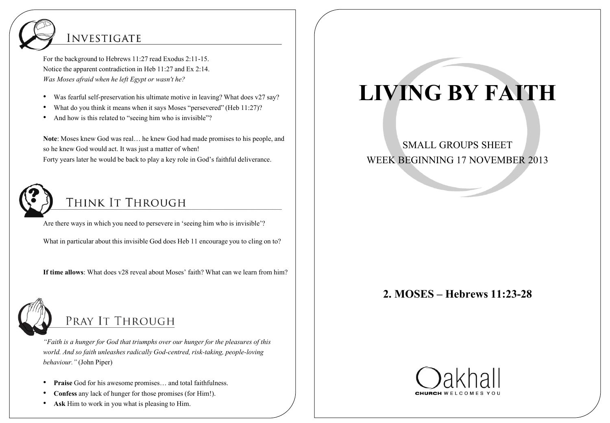## **INVESTIGATE**

For the background to Hebrews 11:27 read Exodus 2:11-15. Notice the apparent contradiction in Heb 11:27 and Ex 2:14. *Was Moses afraid when he left Egypt or wasn't he?*

- Was fearful self-preservation his ultimate motive in leaving? What does v27 say?
- What do you think it means when it says Moses "persevered" (Heb 11:27)?
- And how is this related to "seeing him who is invisible"?

**Note**: Moses knew God was real… he knew God had made promises to his people, and so he knew God would act. It was just a matter of when! Forty years later he would be back to play a key role in God's faithful deliverance.



## THINK IT THROUGH

Are there ways in which you need to persevere in 'seeing him who is invisible'?

What in particular about this invisible God does Heb 11 encourage you to cling on to?

**If time allows**: What does v28 reveal about Moses' faith? What can we learn from him?



## PRAY IT THROUGH

*"Faith is a hunger for God that triumphs over our hunger for the pleasures of this world. And so faith unleashes radically God-centred, risk-taking, people-loving behaviour."* (John Piper)

- **Praise** God for his awesome promises… and total faithfulness.
- **Confess** any lack of hunger for those promises (for Him!).
- **Ask** Him to work in you what is pleasing to Him.

# **LIVING BY FAITH**

SMALL GROUPS SHEET WEEK BEGINNING 17 NOVEMBER 2013

### **2. MOSES – Hebrews 11:23-28**